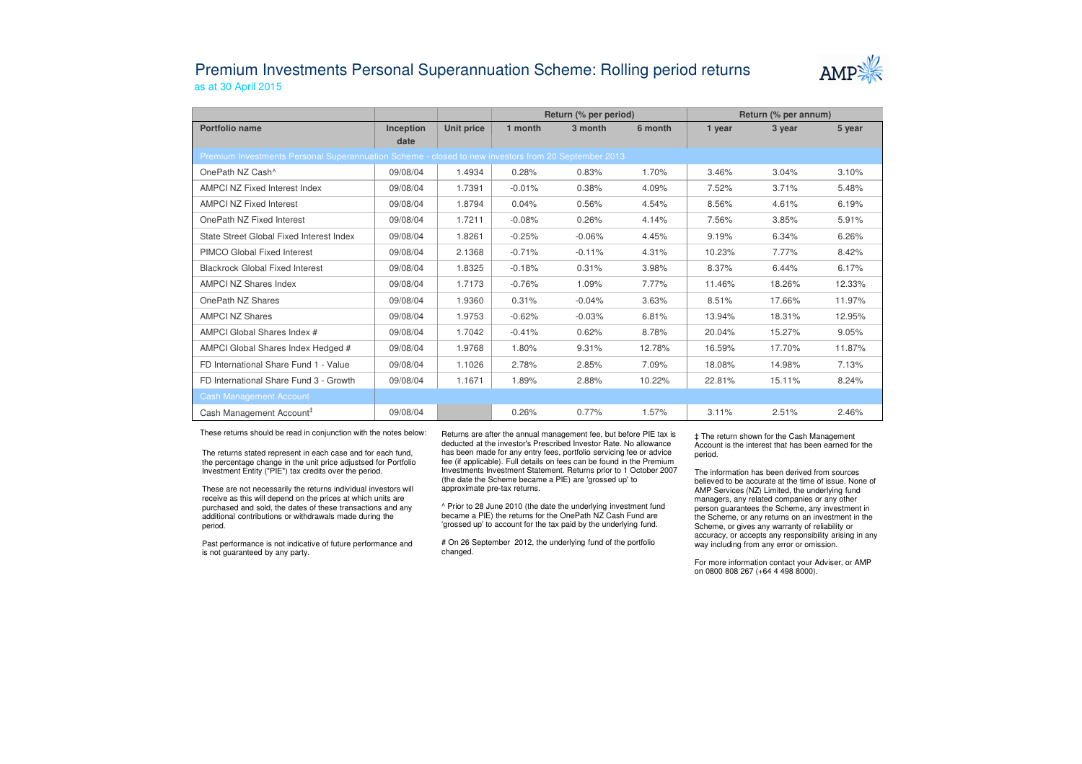## Premium Investments Personal Superannuation Scheme: Rolling period returnsas at 30 April 2015



|                                                                                                     |                   |            | Return (% per period) |          |         | Return (% per annum) |        |        |  |  |  |  |  |
|-----------------------------------------------------------------------------------------------------|-------------------|------------|-----------------------|----------|---------|----------------------|--------|--------|--|--|--|--|--|
| Portfolio name                                                                                      | Inception<br>date | Unit price | 1 month               | 3 month  | 6 month | 1 year               | 3 year | 5 year |  |  |  |  |  |
| Premium Investments Personal Superannuation Scheme - closed to new investors from 20 September 2013 |                   |            |                       |          |         |                      |        |        |  |  |  |  |  |
| OnePath NZ Cash <sup>^</sup>                                                                        | 09/08/04          | 1.4934     | 0.28%                 | 0.83%    | 1.70%   | 3.46%                | 3.04%  | 3.10%  |  |  |  |  |  |
| AMPCI NZ Fixed Interest Index                                                                       | 09/08/04          | 1.7391     | $-0.01%$              | 0.38%    | 4.09%   | 7.52%                | 3.71%  | 5.48%  |  |  |  |  |  |
| <b>AMPCI NZ Fixed Interest</b>                                                                      | 09/08/04          | 1.8794     | 0.04%                 | 0.56%    | 4.54%   | 8.56%                | 4.61%  | 6.19%  |  |  |  |  |  |
| OnePath NZ Fixed Interest                                                                           | 09/08/04          | 1.7211     | $-0.08%$              | 0.26%    | 4.14%   | 7.56%                | 3.85%  | 5.91%  |  |  |  |  |  |
| State Street Global Fixed Interest Index                                                            | 09/08/04          | 1.8261     | $-0.25%$              | $-0.06%$ | 4.45%   | 9.19%                | 6.34%  | 6.26%  |  |  |  |  |  |
| PIMCO Global Fixed Interest                                                                         | 09/08/04          | 2.1368     | $-0.71%$              | $-0.11%$ | 4.31%   | 10.23%               | 7.77%  | 8.42%  |  |  |  |  |  |
| <b>Blackrock Global Fixed Interest</b>                                                              | 09/08/04          | 1.8325     | $-0.18%$              | 0.31%    | 3.98%   | 8.37%                | 6.44%  | 6.17%  |  |  |  |  |  |
| <b>AMPCI NZ Shares Index</b>                                                                        | 09/08/04          | 1.7173     | $-0.76%$              | 1.09%    | 7.77%   | 11.46%               | 18.26% | 12.33% |  |  |  |  |  |
| OnePath NZ Shares                                                                                   | 09/08/04          | 1.9360     | 0.31%                 | $-0.04%$ | 3.63%   | 8.51%                | 17.66% | 11.97% |  |  |  |  |  |
| <b>AMPCI NZ Shares</b>                                                                              | 09/08/04          | 1.9753     | $-0.62%$              | $-0.03%$ | 6.81%   | 13.94%               | 18.31% | 12.95% |  |  |  |  |  |
| AMPCI Global Shares Index #                                                                         | 09/08/04          | 1.7042     | $-0.41%$              | 0.62%    | 8.78%   | 20.04%               | 15.27% | 9.05%  |  |  |  |  |  |
| AMPCI Global Shares Index Hedged #                                                                  | 09/08/04          | 1.9768     | 1.80%                 | 9.31%    | 12.78%  | 16.59%               | 17.70% | 11.87% |  |  |  |  |  |
| FD International Share Fund 1 - Value                                                               | 09/08/04          | 1.1026     | 2.78%                 | 2.85%    | 7.09%   | 18.08%               | 14.98% | 7.13%  |  |  |  |  |  |
| FD International Share Fund 3 - Growth                                                              | 09/08/04          | 1.1671     | 1.89%                 | 2.88%    | 10.22%  | 22.81%               | 15.11% | 8.24%  |  |  |  |  |  |
| <b>Cash Management Account</b>                                                                      |                   |            |                       |          |         |                      |        |        |  |  |  |  |  |
| Cash Management Account <sup>#</sup>                                                                | 09/08/04          |            | 0.26%                 | 0.77%    | 1.57%   | 3.11%                | 2.51%  | 2.46%  |  |  |  |  |  |

These returns should be read in conjunction with the notes below:

The returns stated represent in each case and for each fund, the percentage change in the unit price adjustsed for Portfolio Investment Entity ("PIE") tax credits over the period.

These are not necessarily the returns individual investors will receive as this will depend on the prices at which units are purchased and sold, the dates of these transactions and any additional contributions or withdrawals made during the period.

Past performance is not indicative of future performance and is not guaranteed by any party.

Returns are after the annual management fee, but before PIE tax is deducted at the investor's Prescribed Investor Rate. No allowance has been made for any entry fees, portfolio servicing fee or advice fee (if applicable). Full details on fees can be found in the Premium Investments Investment Statement. Returns prior to 1 October 2007 (the date the Scheme became a PIE) are 'grossed up' to approximate pre-tax returns.

^ Prior to 28 June 2010 (the date the underlying investment fund became a PIE) the returns for the OnePath NZ Cash Fund are 'grossed up' to account for the tax paid by the underlying fund.

# On 26 September 2012, the underlying fund of the portfolio changed.

‡ The return shown for the Cash Management Account is the interest that has been earned for the period.

The information has been derived from sources believed to be accurate at the time of issue. None of AMP Services (NZ) Limited, the underlying fund managers, any related companies or any other person guarantees the Scheme, any investment in the Scheme, or any returns on an investment in the Scheme, or gives any warranty of reliability or accuracy, or accepts any responsibility arising in any way including from any error or omission.

For more information contact your Adviser, or AMP on 0800 808 267 (+64 4 498 8000).